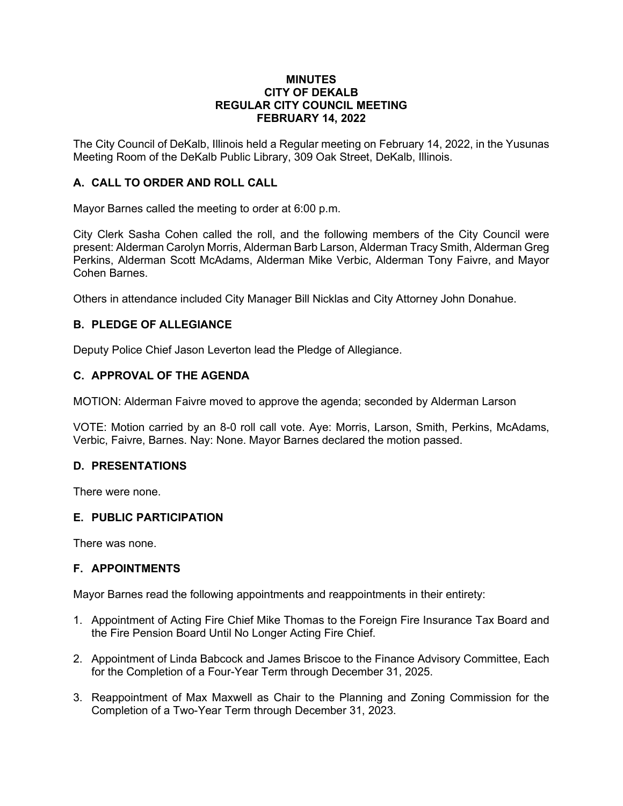#### **MINUTES CITY OF DEKALB REGULAR CITY COUNCIL MEETING FEBRUARY 14, 2022**

The City Council of DeKalb, Illinois held a Regular meeting on February 14, 2022, in the Yusunas Meeting Room of the DeKalb Public Library, 309 Oak Street, DeKalb, Illinois.

# **A. CALL TO ORDER AND ROLL CALL**

Mayor Barnes called the meeting to order at 6:00 p.m.

City Clerk Sasha Cohen called the roll, and the following members of the City Council were present: Alderman Carolyn Morris, Alderman Barb Larson, Alderman Tracy Smith, Alderman Greg Perkins, Alderman Scott McAdams, Alderman Mike Verbic, Alderman Tony Faivre, and Mayor Cohen Barnes.

Others in attendance included City Manager Bill Nicklas and City Attorney John Donahue.

# **B. PLEDGE OF ALLEGIANCE**

Deputy Police Chief Jason Leverton lead the Pledge of Allegiance.

# **C. APPROVAL OF THE AGENDA**

MOTION: Alderman Faivre moved to approve the agenda; seconded by Alderman Larson

VOTE: Motion carried by an 8-0 roll call vote. Aye: Morris, Larson, Smith, Perkins, McAdams, Verbic, Faivre, Barnes. Nay: None. Mayor Barnes declared the motion passed.

# **D. PRESENTATIONS**

There were none.

# **E. PUBLIC PARTICIPATION**

There was none.

# **F. APPOINTMENTS**

Mayor Barnes read the following appointments and reappointments in their entirety:

- 1. Appointment of Acting Fire Chief Mike Thomas to the Foreign Fire Insurance Tax Board and the Fire Pension Board Until No Longer Acting Fire Chief.
- 2. Appointment of Linda Babcock and James Briscoe to the Finance Advisory Committee, Each for the Completion of a Four-Year Term through December 31, 2025.
- 3. Reappointment of Max Maxwell as Chair to the Planning and Zoning Commission for the Completion of a Two-Year Term through December 31, 2023.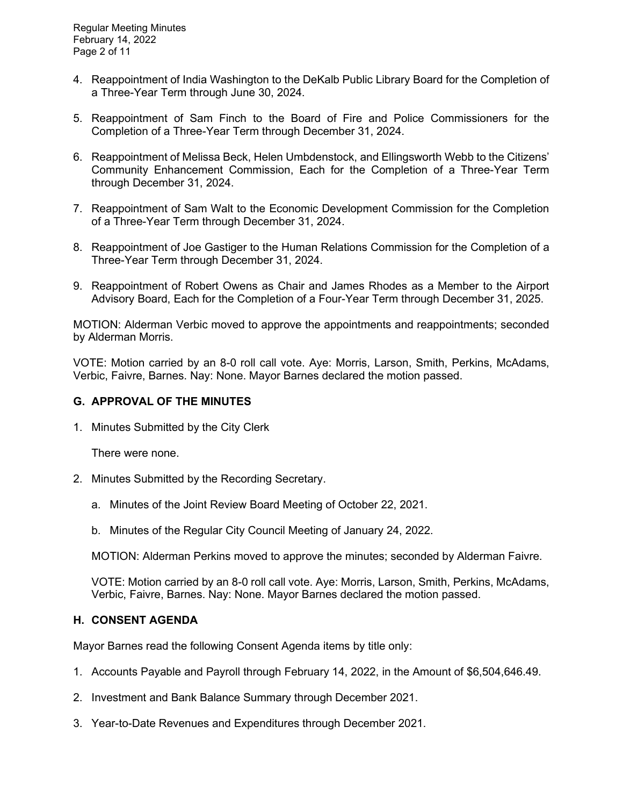- 4. Reappointment of India Washington to the DeKalb Public Library Board for the Completion of a Three-Year Term through June 30, 2024.
- 5. Reappointment of Sam Finch to the Board of Fire and Police Commissioners for the Completion of a Three-Year Term through December 31, 2024.
- 6. Reappointment of Melissa Beck, Helen Umbdenstock, and Ellingsworth Webb to the Citizens' Community Enhancement Commission, Each for the Completion of a Three-Year Term through December 31, 2024.
- 7. Reappointment of Sam Walt to the Economic Development Commission for the Completion of a Three-Year Term through December 31, 2024.
- 8. Reappointment of Joe Gastiger to the Human Relations Commission for the Completion of a Three-Year Term through December 31, 2024.
- 9. Reappointment of Robert Owens as Chair and James Rhodes as a Member to the Airport Advisory Board, Each for the Completion of a Four-Year Term through December 31, 2025.

MOTION: Alderman Verbic moved to approve the appointments and reappointments; seconded by Alderman Morris.

VOTE: Motion carried by an 8-0 roll call vote. Aye: Morris, Larson, Smith, Perkins, McAdams, Verbic, Faivre, Barnes. Nay: None. Mayor Barnes declared the motion passed.

### **G. APPROVAL OF THE MINUTES**

1. Minutes Submitted by the City Clerk

There were none.

- 2. Minutes Submitted by the Recording Secretary.
	- a. Minutes of the Joint Review Board Meeting of October 22, 2021.
	- b. Minutes of the Regular City Council Meeting of January 24, 2022.

MOTION: Alderman Perkins moved to approve the minutes; seconded by Alderman Faivre.

VOTE: Motion carried by an 8-0 roll call vote. Aye: Morris, Larson, Smith, Perkins, McAdams, Verbic, Faivre, Barnes. Nay: None. Mayor Barnes declared the motion passed.

# **H. CONSENT AGENDA**

Mayor Barnes read the following Consent Agenda items by title only:

- 1. Accounts Payable and Payroll through February 14, 2022, in the Amount of \$6,504,646.49.
- 2. Investment and Bank Balance Summary through December 2021.
- 3. Year-to-Date Revenues and Expenditures through December 2021.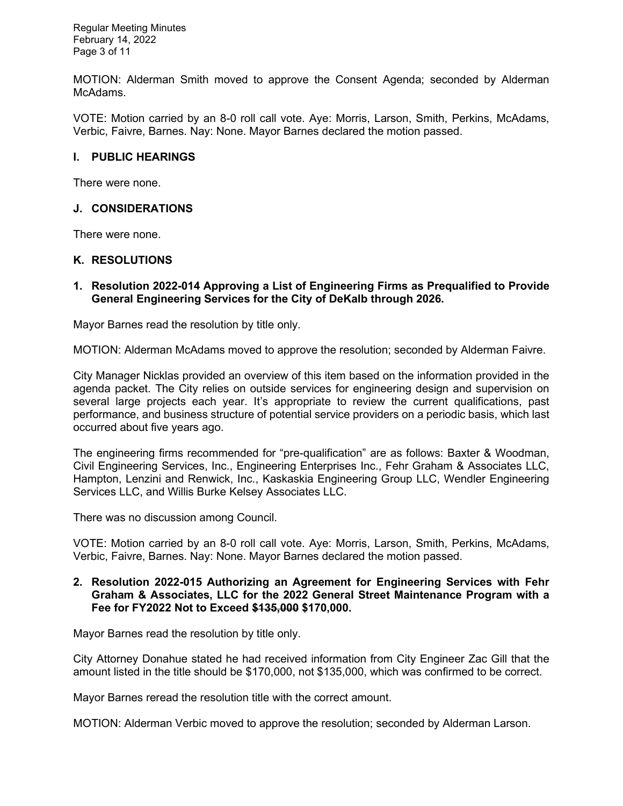Regular Meeting Minutes February 14, 2022 Page 3 of 11

MOTION: Alderman Smith moved to approve the Consent Agenda; seconded by Alderman McAdams.

VOTE: Motion carried by an 8-0 roll call vote. Aye: Morris, Larson, Smith, Perkins, McAdams, Verbic, Faivre, Barnes. Nay: None. Mayor Barnes declared the motion passed.

### **I. PUBLIC HEARINGS**

There were none.

### **J. CONSIDERATIONS**

There were none.

#### **K. RESOLUTIONS**

#### **1. Resolution 2022-014 Approving a List of Engineering Firms as Prequalified to Provide General Engineering Services for the City of DeKalb through 2026.**

Mayor Barnes read the resolution by title only.

MOTION: Alderman McAdams moved to approve the resolution; seconded by Alderman Faivre.

City Manager Nicklas provided an overview of this item based on the information provided in the agenda packet. The City relies on outside services for engineering design and supervision on several large projects each year. It's appropriate to review the current qualifications, past performance, and business structure of potential service providers on a periodic basis, which last occurred about five years ago.

The engineering firms recommended for "pre-qualification" are as follows: Baxter & Woodman, Civil Engineering Services, Inc., Engineering Enterprises Inc., Fehr Graham & Associates LLC, Hampton, Lenzini and Renwick, Inc., Kaskaskia Engineering Group LLC, Wendler Engineering Services LLC, and Willis Burke Kelsey Associates LLC.

There was no discussion among Council.

VOTE: Motion carried by an 8-0 roll call vote. Aye: Morris, Larson, Smith, Perkins, McAdams, Verbic, Faivre, Barnes. Nay: None. Mayor Barnes declared the motion passed.

#### **2. Resolution 2022-015 Authorizing an Agreement for Engineering Services with Fehr Graham & Associates, LLC for the 2022 General Street Maintenance Program with a Fee for FY2022 Not to Exceed \$135,000 \$170,000.**

Mayor Barnes read the resolution by title only.

City Attorney Donahue stated he had received information from City Engineer Zac Gill that the amount listed in the title should be \$170,000, not \$135,000, which was confirmed to be correct.

Mayor Barnes reread the resolution title with the correct amount.

MOTION: Alderman Verbic moved to approve the resolution; seconded by Alderman Larson.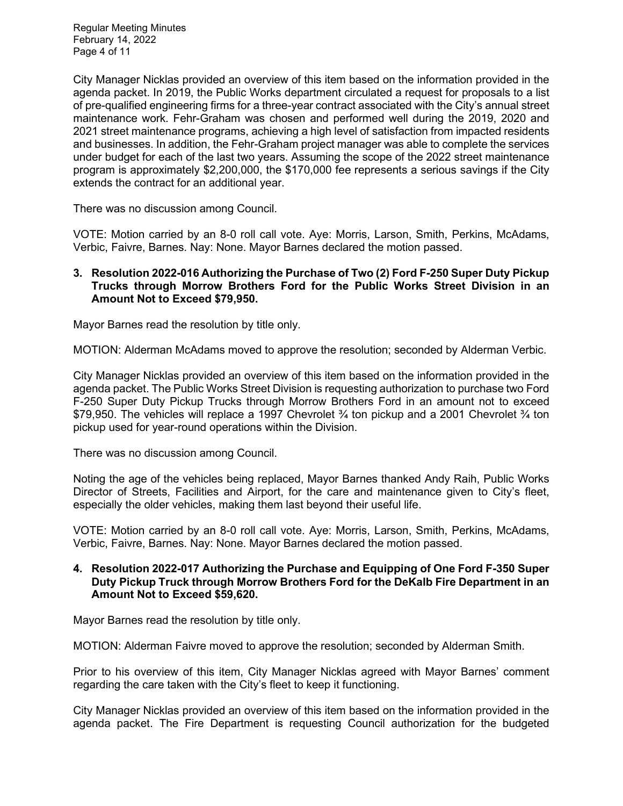Regular Meeting Minutes February 14, 2022 Page 4 of 11

City Manager Nicklas provided an overview of this item based on the information provided in the agenda packet. In 2019, the Public Works department circulated a request for proposals to a list of pre-qualified engineering firms for a three-year contract associated with the City's annual street maintenance work. Fehr-Graham was chosen and performed well during the 2019, 2020 and 2021 street maintenance programs, achieving a high level of satisfaction from impacted residents and businesses. In addition, the Fehr-Graham project manager was able to complete the services under budget for each of the last two years. Assuming the scope of the 2022 street maintenance program is approximately \$2,200,000, the \$170,000 fee represents a serious savings if the City extends the contract for an additional year.

There was no discussion among Council.

VOTE: Motion carried by an 8-0 roll call vote. Aye: Morris, Larson, Smith, Perkins, McAdams, Verbic, Faivre, Barnes. Nay: None. Mayor Barnes declared the motion passed.

#### **3. Resolution 2022-016 Authorizing the Purchase of Two (2) Ford F-250 Super Duty Pickup Trucks through Morrow Brothers Ford for the Public Works Street Division in an Amount Not to Exceed \$79,950.**

Mayor Barnes read the resolution by title only.

MOTION: Alderman McAdams moved to approve the resolution; seconded by Alderman Verbic.

City Manager Nicklas provided an overview of this item based on the information provided in the agenda packet. The Public Works Street Division is requesting authorization to purchase two Ford F-250 Super Duty Pickup Trucks through Morrow Brothers Ford in an amount not to exceed \$79,950. The vehicles will replace a 1997 Chevrolet 3/4 ton pickup and a 2001 Chevrolet 3/4 ton pickup used for year-round operations within the Division.

There was no discussion among Council.

Noting the age of the vehicles being replaced, Mayor Barnes thanked Andy Raih, Public Works Director of Streets, Facilities and Airport, for the care and maintenance given to City's fleet, especially the older vehicles, making them last beyond their useful life.

VOTE: Motion carried by an 8-0 roll call vote. Aye: Morris, Larson, Smith, Perkins, McAdams, Verbic, Faivre, Barnes. Nay: None. Mayor Barnes declared the motion passed.

### **4. Resolution 2022-017 Authorizing the Purchase and Equipping of One Ford F-350 Super Duty Pickup Truck through Morrow Brothers Ford for the DeKalb Fire Department in an Amount Not to Exceed \$59,620.**

Mayor Barnes read the resolution by title only.

MOTION: Alderman Faivre moved to approve the resolution; seconded by Alderman Smith.

Prior to his overview of this item, City Manager Nicklas agreed with Mayor Barnes' comment regarding the care taken with the City's fleet to keep it functioning.

City Manager Nicklas provided an overview of this item based on the information provided in the agenda packet. The Fire Department is requesting Council authorization for the budgeted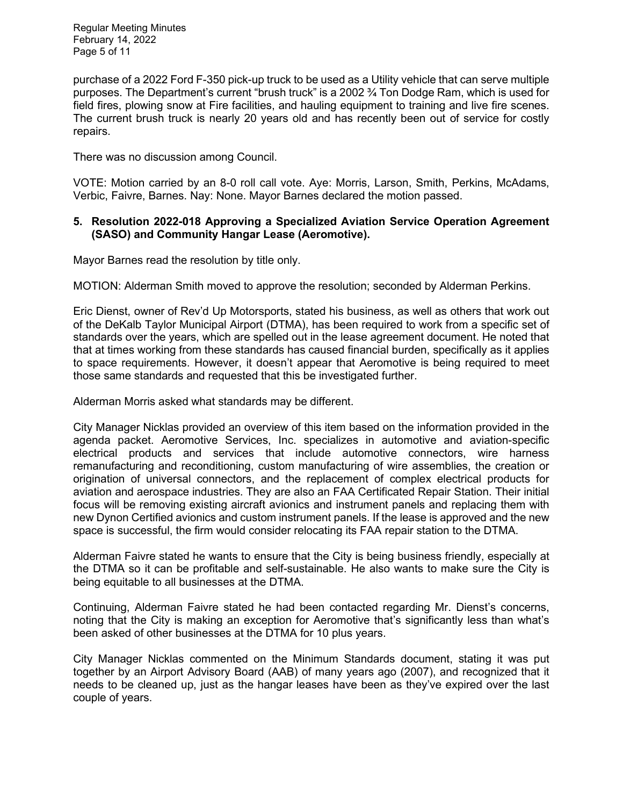Regular Meeting Minutes February 14, 2022 Page 5 of 11

purchase of a 2022 Ford F-350 pick-up truck to be used as a Utility vehicle that can serve multiple purposes. The Department's current "brush truck" is a 2002 ¾ Ton Dodge Ram, which is used for field fires, plowing snow at Fire facilities, and hauling equipment to training and live fire scenes. The current brush truck is nearly 20 years old and has recently been out of service for costly repairs.

There was no discussion among Council.

VOTE: Motion carried by an 8-0 roll call vote. Aye: Morris, Larson, Smith, Perkins, McAdams, Verbic, Faivre, Barnes. Nay: None. Mayor Barnes declared the motion passed.

### **5. Resolution 2022-018 Approving a Specialized Aviation Service Operation Agreement (SASO) and Community Hangar Lease (Aeromotive).**

Mayor Barnes read the resolution by title only.

MOTION: Alderman Smith moved to approve the resolution; seconded by Alderman Perkins.

Eric Dienst, owner of Rev'd Up Motorsports, stated his business, as well as others that work out of the DeKalb Taylor Municipal Airport (DTMA), has been required to work from a specific set of standards over the years, which are spelled out in the lease agreement document. He noted that that at times working from these standards has caused financial burden, specifically as it applies to space requirements. However, it doesn't appear that Aeromotive is being required to meet those same standards and requested that this be investigated further.

Alderman Morris asked what standards may be different.

City Manager Nicklas provided an overview of this item based on the information provided in the agenda packet. Aeromotive Services, Inc. specializes in automotive and aviation-specific electrical products and services that include automotive connectors, wire harness remanufacturing and reconditioning, custom manufacturing of wire assemblies, the creation or origination of universal connectors, and the replacement of complex electrical products for aviation and aerospace industries. They are also an FAA Certificated Repair Station. Their initial focus will be removing existing aircraft avionics and instrument panels and replacing them with new Dynon Certified avionics and custom instrument panels. If the lease is approved and the new space is successful, the firm would consider relocating its FAA repair station to the DTMA.

Alderman Faivre stated he wants to ensure that the City is being business friendly, especially at the DTMA so it can be profitable and self-sustainable. He also wants to make sure the City is being equitable to all businesses at the DTMA.

Continuing, Alderman Faivre stated he had been contacted regarding Mr. Dienst's concerns, noting that the City is making an exception for Aeromotive that's significantly less than what's been asked of other businesses at the DTMA for 10 plus years.

City Manager Nicklas commented on the Minimum Standards document, stating it was put together by an Airport Advisory Board (AAB) of many years ago (2007), and recognized that it needs to be cleaned up, just as the hangar leases have been as they've expired over the last couple of years.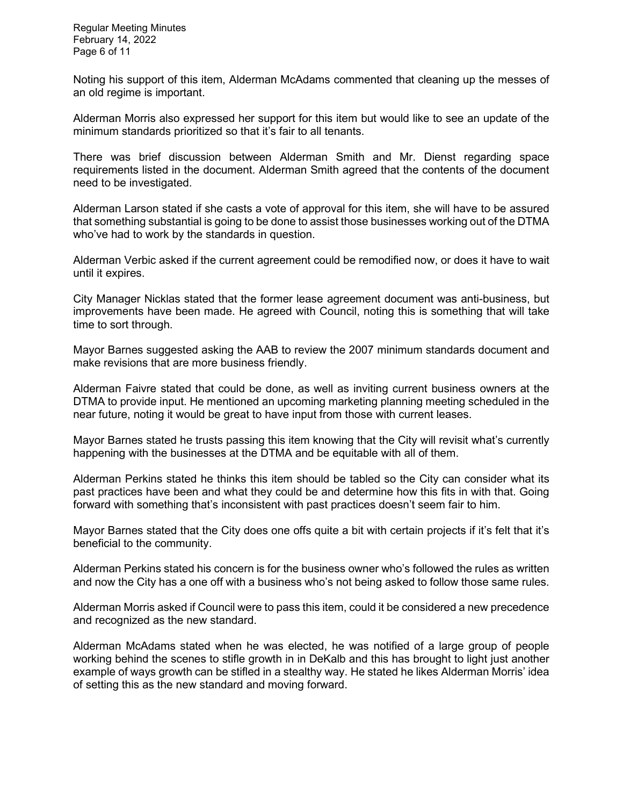Regular Meeting Minutes February 14, 2022 Page 6 of 11

Noting his support of this item, Alderman McAdams commented that cleaning up the messes of an old regime is important.

Alderman Morris also expressed her support for this item but would like to see an update of the minimum standards prioritized so that it's fair to all tenants.

There was brief discussion between Alderman Smith and Mr. Dienst regarding space requirements listed in the document. Alderman Smith agreed that the contents of the document need to be investigated.

Alderman Larson stated if she casts a vote of approval for this item, she will have to be assured that something substantial is going to be done to assist those businesses working out of the DTMA who've had to work by the standards in question.

Alderman Verbic asked if the current agreement could be remodified now, or does it have to wait until it expires.

City Manager Nicklas stated that the former lease agreement document was anti-business, but improvements have been made. He agreed with Council, noting this is something that will take time to sort through.

Mayor Barnes suggested asking the AAB to review the 2007 minimum standards document and make revisions that are more business friendly.

Alderman Faivre stated that could be done, as well as inviting current business owners at the DTMA to provide input. He mentioned an upcoming marketing planning meeting scheduled in the near future, noting it would be great to have input from those with current leases.

Mayor Barnes stated he trusts passing this item knowing that the City will revisit what's currently happening with the businesses at the DTMA and be equitable with all of them.

Alderman Perkins stated he thinks this item should be tabled so the City can consider what its past practices have been and what they could be and determine how this fits in with that. Going forward with something that's inconsistent with past practices doesn't seem fair to him.

Mayor Barnes stated that the City does one offs quite a bit with certain projects if it's felt that it's beneficial to the community.

Alderman Perkins stated his concern is for the business owner who's followed the rules as written and now the City has a one off with a business who's not being asked to follow those same rules.

Alderman Morris asked if Council were to pass this item, could it be considered a new precedence and recognized as the new standard.

Alderman McAdams stated when he was elected, he was notified of a large group of people working behind the scenes to stifle growth in in DeKalb and this has brought to light just another example of ways growth can be stifled in a stealthy way. He stated he likes Alderman Morris' idea of setting this as the new standard and moving forward.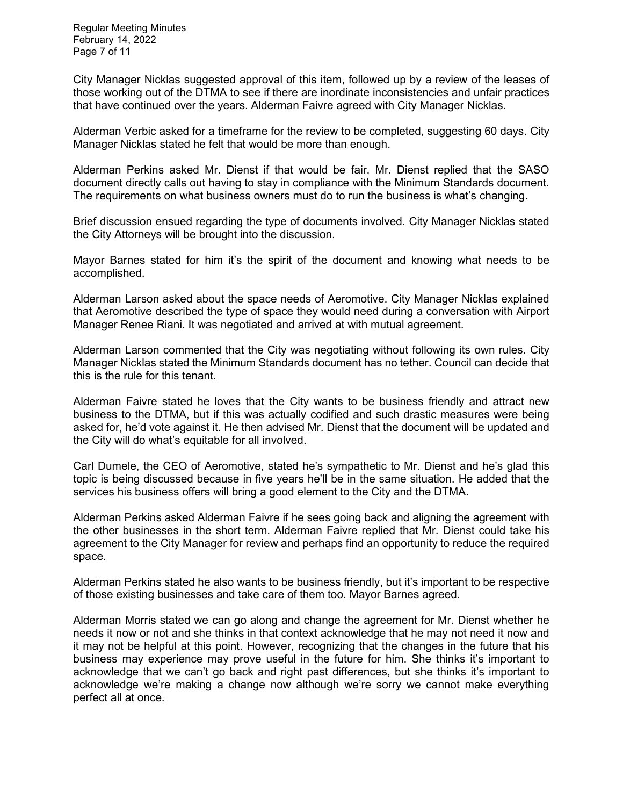Regular Meeting Minutes February 14, 2022 Page 7 of 11

City Manager Nicklas suggested approval of this item, followed up by a review of the leases of those working out of the DTMA to see if there are inordinate inconsistencies and unfair practices that have continued over the years. Alderman Faivre agreed with City Manager Nicklas.

Alderman Verbic asked for a timeframe for the review to be completed, suggesting 60 days. City Manager Nicklas stated he felt that would be more than enough.

Alderman Perkins asked Mr. Dienst if that would be fair. Mr. Dienst replied that the SASO document directly calls out having to stay in compliance with the Minimum Standards document. The requirements on what business owners must do to run the business is what's changing.

Brief discussion ensued regarding the type of documents involved. City Manager Nicklas stated the City Attorneys will be brought into the discussion.

Mayor Barnes stated for him it's the spirit of the document and knowing what needs to be accomplished.

Alderman Larson asked about the space needs of Aeromotive. City Manager Nicklas explained that Aeromotive described the type of space they would need during a conversation with Airport Manager Renee Riani. It was negotiated and arrived at with mutual agreement.

Alderman Larson commented that the City was negotiating without following its own rules. City Manager Nicklas stated the Minimum Standards document has no tether. Council can decide that this is the rule for this tenant.

Alderman Faivre stated he loves that the City wants to be business friendly and attract new business to the DTMA, but if this was actually codified and such drastic measures were being asked for, he'd vote against it. He then advised Mr. Dienst that the document will be updated and the City will do what's equitable for all involved.

Carl Dumele, the CEO of Aeromotive, stated he's sympathetic to Mr. Dienst and he's glad this topic is being discussed because in five years he'll be in the same situation. He added that the services his business offers will bring a good element to the City and the DTMA.

Alderman Perkins asked Alderman Faivre if he sees going back and aligning the agreement with the other businesses in the short term. Alderman Faivre replied that Mr. Dienst could take his agreement to the City Manager for review and perhaps find an opportunity to reduce the required space.

Alderman Perkins stated he also wants to be business friendly, but it's important to be respective of those existing businesses and take care of them too. Mayor Barnes agreed.

Alderman Morris stated we can go along and change the agreement for Mr. Dienst whether he needs it now or not and she thinks in that context acknowledge that he may not need it now and it may not be helpful at this point. However, recognizing that the changes in the future that his business may experience may prove useful in the future for him. She thinks it's important to acknowledge that we can't go back and right past differences, but she thinks it's important to acknowledge we're making a change now although we're sorry we cannot make everything perfect all at once.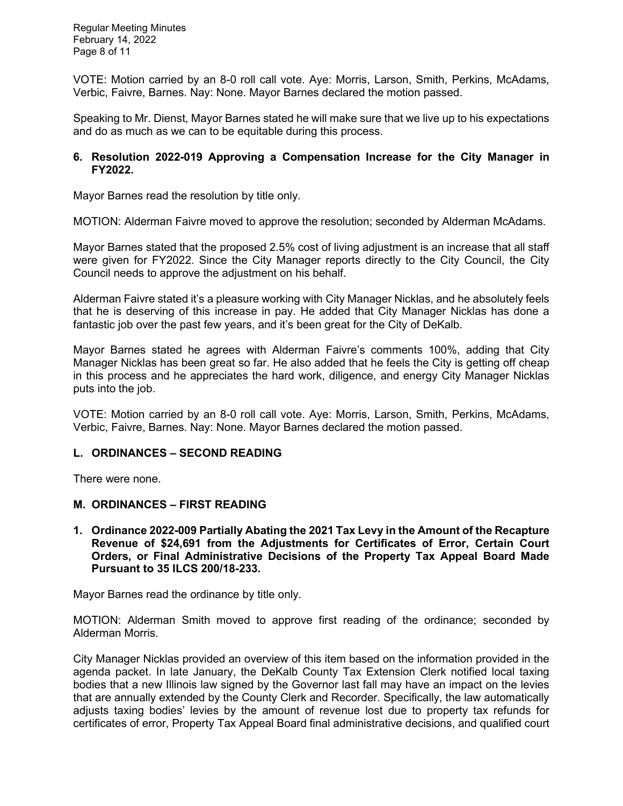Regular Meeting Minutes February 14, 2022 Page 8 of 11

VOTE: Motion carried by an 8-0 roll call vote. Aye: Morris, Larson, Smith, Perkins, McAdams, Verbic, Faivre, Barnes. Nay: None. Mayor Barnes declared the motion passed.

Speaking to Mr. Dienst, Mayor Barnes stated he will make sure that we live up to his expectations and do as much as we can to be equitable during this process.

### **6. Resolution 2022-019 Approving a Compensation Increase for the City Manager in FY2022.**

Mayor Barnes read the resolution by title only.

MOTION: Alderman Faivre moved to approve the resolution; seconded by Alderman McAdams.

Mayor Barnes stated that the proposed 2.5% cost of living adjustment is an increase that all staff were given for FY2022. Since the City Manager reports directly to the City Council, the City Council needs to approve the adjustment on his behalf.

Alderman Faivre stated it's a pleasure working with City Manager Nicklas, and he absolutely feels that he is deserving of this increase in pay. He added that City Manager Nicklas has done a fantastic job over the past few years, and it's been great for the City of DeKalb.

Mayor Barnes stated he agrees with Alderman Faivre's comments 100%, adding that City Manager Nicklas has been great so far. He also added that he feels the City is getting off cheap in this process and he appreciates the hard work, diligence, and energy City Manager Nicklas puts into the job.

VOTE: Motion carried by an 8-0 roll call vote. Aye: Morris, Larson, Smith, Perkins, McAdams, Verbic, Faivre, Barnes. Nay: None. Mayor Barnes declared the motion passed.

# **L. ORDINANCES – SECOND READING**

There were none.

# **M. ORDINANCES – FIRST READING**

**1. Ordinance 2022-009 Partially Abating the 2021 Tax Levy in the Amount of the Recapture Revenue of \$24,691 from the Adjustments for Certificates of Error, Certain Court Orders, or Final Administrative Decisions of the Property Tax Appeal Board Made Pursuant to 35 ILCS 200/18-233.**

Mayor Barnes read the ordinance by title only.

MOTION: Alderman Smith moved to approve first reading of the ordinance; seconded by Alderman Morris.

City Manager Nicklas provided an overview of this item based on the information provided in the agenda packet. In late January, the DeKalb County Tax Extension Clerk notified local taxing bodies that a new Illinois law signed by the Governor last fall may have an impact on the levies that are annually extended by the County Clerk and Recorder. Specifically, the law automatically adjusts taxing bodies' levies by the amount of revenue lost due to property tax refunds for certificates of error, Property Tax Appeal Board final administrative decisions, and qualified court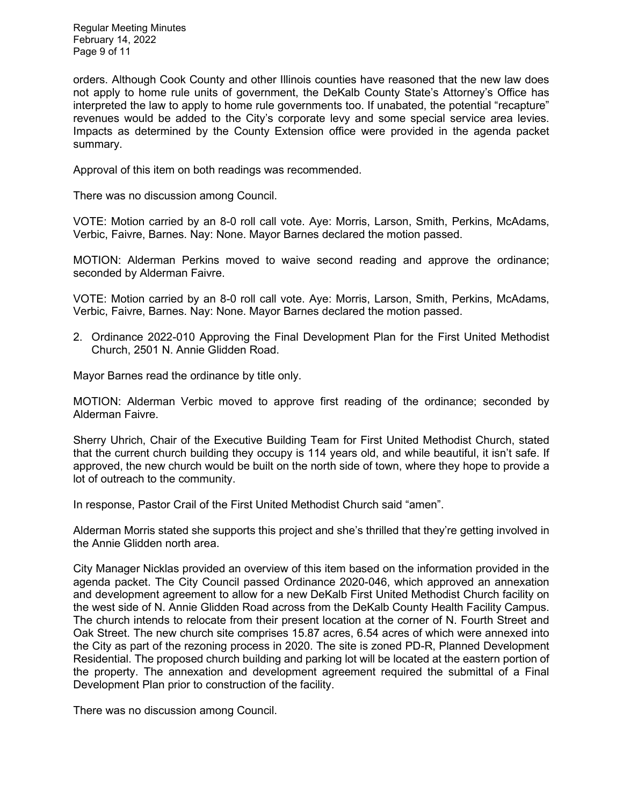Regular Meeting Minutes February 14, 2022 Page 9 of 11

orders. Although Cook County and other Illinois counties have reasoned that the new law does not apply to home rule units of government, the DeKalb County State's Attorney's Office has interpreted the law to apply to home rule governments too. If unabated, the potential "recapture" revenues would be added to the City's corporate levy and some special service area levies. Impacts as determined by the County Extension office were provided in the agenda packet summary.

Approval of this item on both readings was recommended.

There was no discussion among Council.

VOTE: Motion carried by an 8-0 roll call vote. Aye: Morris, Larson, Smith, Perkins, McAdams, Verbic, Faivre, Barnes. Nay: None. Mayor Barnes declared the motion passed.

MOTION: Alderman Perkins moved to waive second reading and approve the ordinance; seconded by Alderman Faivre.

VOTE: Motion carried by an 8-0 roll call vote. Aye: Morris, Larson, Smith, Perkins, McAdams, Verbic, Faivre, Barnes. Nay: None. Mayor Barnes declared the motion passed.

2. Ordinance 2022-010 Approving the Final Development Plan for the First United Methodist Church, 2501 N. Annie Glidden Road.

Mayor Barnes read the ordinance by title only.

MOTION: Alderman Verbic moved to approve first reading of the ordinance; seconded by Alderman Faivre.

Sherry Uhrich, Chair of the Executive Building Team for First United Methodist Church, stated that the current church building they occupy is 114 years old, and while beautiful, it isn't safe. If approved, the new church would be built on the north side of town, where they hope to provide a lot of outreach to the community.

In response, Pastor Crail of the First United Methodist Church said "amen".

Alderman Morris stated she supports this project and she's thrilled that they're getting involved in the Annie Glidden north area.

City Manager Nicklas provided an overview of this item based on the information provided in the agenda packet. The City Council passed Ordinance 2020-046, which approved an annexation and development agreement to allow for a new DeKalb First United Methodist Church facility on the west side of N. Annie Glidden Road across from the DeKalb County Health Facility Campus. The church intends to relocate from their present location at the corner of N. Fourth Street and Oak Street. The new church site comprises 15.87 acres, 6.54 acres of which were annexed into the City as part of the rezoning process in 2020. The site is zoned PD-R, Planned Development Residential. The proposed church building and parking lot will be located at the eastern portion of the property. The annexation and development agreement required the submittal of a Final Development Plan prior to construction of the facility.

There was no discussion among Council.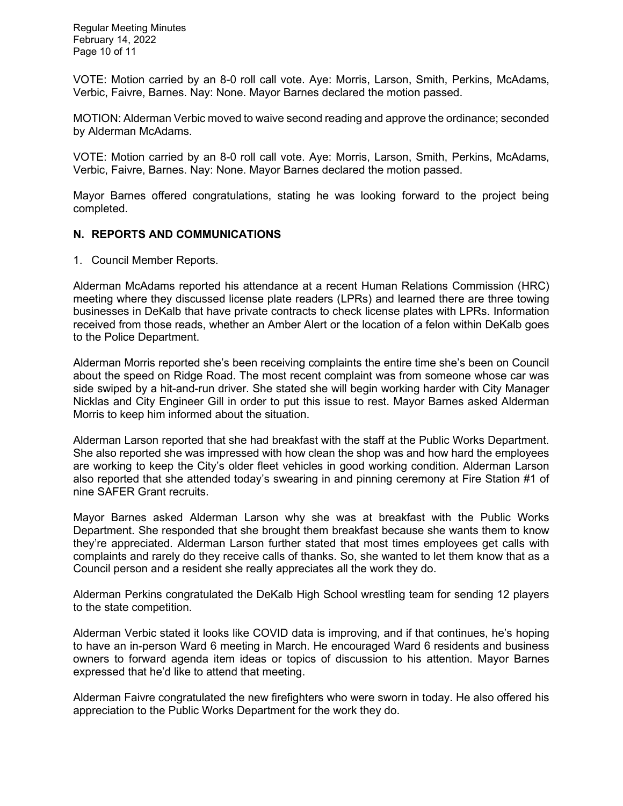Regular Meeting Minutes February 14, 2022 Page 10 of 11

VOTE: Motion carried by an 8-0 roll call vote. Aye: Morris, Larson, Smith, Perkins, McAdams, Verbic, Faivre, Barnes. Nay: None. Mayor Barnes declared the motion passed.

MOTION: Alderman Verbic moved to waive second reading and approve the ordinance; seconded by Alderman McAdams.

VOTE: Motion carried by an 8-0 roll call vote. Aye: Morris, Larson, Smith, Perkins, McAdams, Verbic, Faivre, Barnes. Nay: None. Mayor Barnes declared the motion passed.

Mayor Barnes offered congratulations, stating he was looking forward to the project being completed.

### **N. REPORTS AND COMMUNICATIONS**

1. Council Member Reports.

Alderman McAdams reported his attendance at a recent Human Relations Commission (HRC) meeting where they discussed license plate readers (LPRs) and learned there are three towing businesses in DeKalb that have private contracts to check license plates with LPRs. Information received from those reads, whether an Amber Alert or the location of a felon within DeKalb goes to the Police Department.

Alderman Morris reported she's been receiving complaints the entire time she's been on Council about the speed on Ridge Road. The most recent complaint was from someone whose car was side swiped by a hit-and-run driver. She stated she will begin working harder with City Manager Nicklas and City Engineer Gill in order to put this issue to rest. Mayor Barnes asked Alderman Morris to keep him informed about the situation.

Alderman Larson reported that she had breakfast with the staff at the Public Works Department. She also reported she was impressed with how clean the shop was and how hard the employees are working to keep the City's older fleet vehicles in good working condition. Alderman Larson also reported that she attended today's swearing in and pinning ceremony at Fire Station #1 of nine SAFER Grant recruits.

Mayor Barnes asked Alderman Larson why she was at breakfast with the Public Works Department. She responded that she brought them breakfast because she wants them to know they're appreciated. Alderman Larson further stated that most times employees get calls with complaints and rarely do they receive calls of thanks. So, she wanted to let them know that as a Council person and a resident she really appreciates all the work they do.

Alderman Perkins congratulated the DeKalb High School wrestling team for sending 12 players to the state competition.

Alderman Verbic stated it looks like COVID data is improving, and if that continues, he's hoping to have an in-person Ward 6 meeting in March. He encouraged Ward 6 residents and business owners to forward agenda item ideas or topics of discussion to his attention. Mayor Barnes expressed that he'd like to attend that meeting.

Alderman Faivre congratulated the new firefighters who were sworn in today. He also offered his appreciation to the Public Works Department for the work they do.